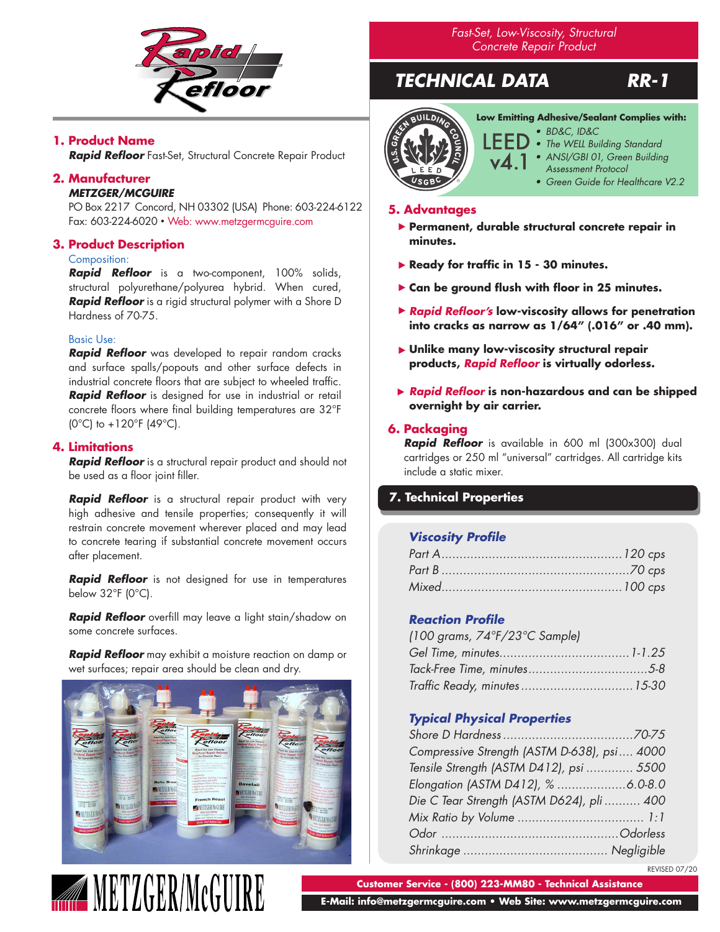

# **1. Product Name**

*Rapid Refloor* Fast-Set, Structural Concrete Repair Product

# **2. Manufacturer**

#### *METZGER/MCGUIRE*

PO Box 2217 Concord, NH 03302 (USA) Phone: 603-224-6122 Fax: 603-224-6020 • Web: www.metzgermcguire.com

# **3. Product Description**

# Composition:

*Rapid Refloor* is a two-component, 100% solids, structural polyurethane/polyurea hybrid. When cured, *Rapid Refloor* is a rigid structural polymer with a Shore D Hardness of 70-75.

#### Basic Use:

*Rapid Refloor* was developed to repair random cracks and surface spalls/popouts and other surface defects in industrial concrete floors that are subject to wheeled traffic. *Rapid Refloor* is designed for use in industrial or retail concrete floors where final building temperatures are 32°F  $(0^{\circ}C)$  to +120°F  $(49^{\circ}C)$ .

# **4. Limitations**

*Rapid Refloor* is a structural repair product and should not be used as a floor joint filler.

**Rapid Refloor** is a structural repair product with very high adhesive and tensile properties; consequently it will restrain concrete movement wherever placed and may lead to concrete tearing if substantial concrete movement occurs after placement.

*Rapid Refloor* is not designed for use in temperatures below 32°F (0°C).

*Rapid Refloor* overfill may leave a light stain/shadow on some concrete surfaces.

*Rapid Refloor* may exhibit a moisture reaction on damp or wet surfaces; repair area should be clean and dry.



**WETZGER/MCGUIRE** 

*Fast-Set, Low-Viscosity, Structural Concrete Repair Product*

# *TECHNICAL DATA RR-1*



**Low Emitting Adhesive/Sealant Complies with:**

- *• BD&C, ID&C*
- *• The WELL Building Standard*
- *• ANSI/GBI 01, Green Building Assessment Protocol*
	- *• Green Guide for Healthcare V2.2*

#### **5. Advantages**

- **Permanent, durable structural concrete repair in**  ▶ **minutes.**
- **Ready for traffic in 15 30 minutes.**  ▶
- **Can be ground flush with floor in 25 minutes.**  ▶
- *Rapid Refloor's* **low-viscosity allows for penetration**  ▶ **into cracks as narrow as 1/64" (.016" or .40 mm).**
- **Unlike many low-viscosity structural repair**  ▶ **products,** *Rapid Refloor* **is virtually odorless.**
- *Rapid Refloor* **is non-hazardous and can be shipped**  ▶ **overnight by air carrier.**

# **6. Packaging**

*Rapid Refloor* is available in 600 ml (300x300) dual cartridges or 250 ml "universal" cartridges. All cartridge kits include a static mixer.

# **7. Technical Properties**

# *Viscosity Profile*

# *Reaction Profile*

| (100 grams, $74^{\circ}F/23^{\circ}C$ Sample) |  |
|-----------------------------------------------|--|
|                                               |  |
|                                               |  |
| Traffic Ready, minutes  15-30                 |  |

# *Typical Physical Properties*

| Compressive Strength (ASTM D-638), psi 4000 |  |
|---------------------------------------------|--|
| Tensile Strength (ASTM D412), psi  5500     |  |
|                                             |  |
| Die C Tear Strength (ASTM D624), pli  400   |  |
|                                             |  |
|                                             |  |
|                                             |  |

REVISED 07/20

**Customer Service - (800) 223-MM80 - Technical Assistance**

 **E-Mail: info@metzgermcguire.com • Web Site: www.metzgermcguire.com**